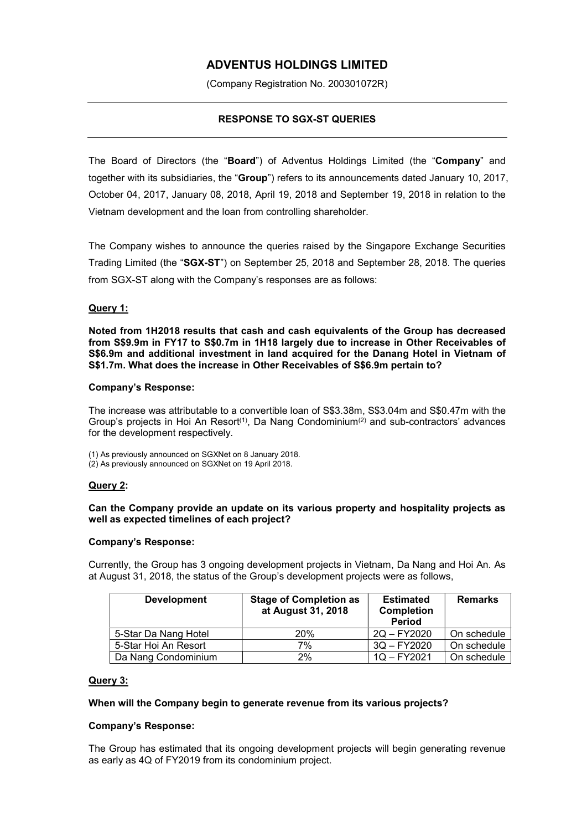# ADVENTUS HOLDINGS LIMITED

(Company Registration No. 200301072R)

# RESPONSE TO SGX-ST QUERIES

The Board of Directors (the "Board") of Adventus Holdings Limited (the "Company" and together with its subsidiaries, the "Group") refers to its announcements dated January 10, 2017, October 04, 2017, January 08, 2018, April 19, 2018 and September 19, 2018 in relation to the Vietnam development and the loan from controlling shareholder.

The Company wishes to announce the queries raised by the Singapore Exchange Securities Trading Limited (the "SGX-ST") on September 25, 2018 and September 28, 2018. The queries from SGX-ST along with the Company's responses are as follows:

# Query 1:

Noted from 1H2018 results that cash and cash equivalents of the Group has decreased from S\$9.9m in FY17 to S\$0.7m in 1H18 largely due to increase in Other Receivables of S\$6.9m and additional investment in land acquired for the Danang Hotel in Vietnam of S\$1.7m. What does the increase in Other Receivables of S\$6.9m pertain to?

#### Company's Response:

The increase was attributable to a convertible loan of S\$3.38m, S\$3.04m and S\$0.47m with the Group's projects in Hoi An Resort<sup>(1)</sup>, Da Nang Condominium<sup>(2)</sup> and sub-contractors' advances for the development respectively.

(1) As previously announced on SGXNet on 8 January 2018.

(2) As previously announced on SGXNet on 19 April 2018.

#### Query 2:

### Can the Company provide an update on its various property and hospitality projects as well as expected timelines of each project?

#### Company's Response:

Currently, the Group has 3 ongoing development projects in Vietnam, Da Nang and Hoi An. As at August 31, 2018, the status of the Group's development projects were as follows,

| <b>Development</b>   | <b>Stage of Completion as</b><br>at August 31, 2018 | <b>Estimated</b><br><b>Completion</b><br><b>Period</b> | <b>Remarks</b> |
|----------------------|-----------------------------------------------------|--------------------------------------------------------|----------------|
| 5-Star Da Nang Hotel | 20%                                                 | 2Q - FY2020                                            | On schedule    |
| 5-Star Hoi An Resort | 7%                                                  | $3Q - FY2020$                                          | On schedule    |
| Da Nang Condominium  | 2%                                                  | $1Q - FY2021$                                          | On schedule    |

#### Query 3:

#### When will the Company begin to generate revenue from its various projects?

#### Company's Response:

The Group has estimated that its ongoing development projects will begin generating revenue as early as 4Q of FY2019 from its condominium project.